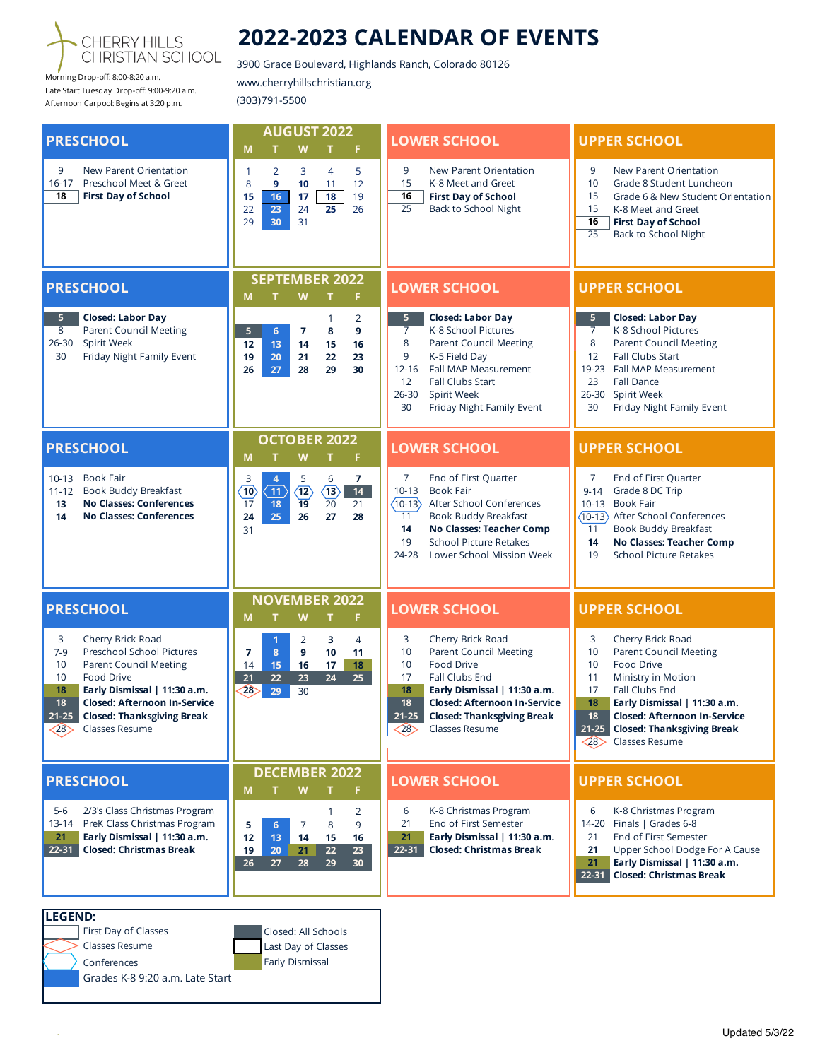

Morning Drop-off: 8:00-8:20 a.m. Late Start Tuesday Drop-off: 9:00-9:20 a.m. Afternoon Carpool: Begins at 3:20 p.m.

 $\bar{\gamma}$ 

## **2022-2023 CALENDAR OF EVENTS**

3900 Grace Boulevard, Highlands Ranch, Colorado 80126 www.cherryhillschristian.org (303)791-5500

| <b>PRESCHOOL</b>                                                                                                                                                                                                                                                                                       | <b>AUGUST 2022</b><br>M<br>W<br>F<br>т<br>Т                                                                                                                                                                                                      | <b>LOWER SCHOOL</b>                                                                                                                                                                                                                                                                             | <b>UPPER SCHOOL</b>                                                                                                                                                                                                                                                                                           |
|--------------------------------------------------------------------------------------------------------------------------------------------------------------------------------------------------------------------------------------------------------------------------------------------------------|--------------------------------------------------------------------------------------------------------------------------------------------------------------------------------------------------------------------------------------------------|-------------------------------------------------------------------------------------------------------------------------------------------------------------------------------------------------------------------------------------------------------------------------------------------------|---------------------------------------------------------------------------------------------------------------------------------------------------------------------------------------------------------------------------------------------------------------------------------------------------------------|
| 9<br>New Parent Orientation<br>$16 - 17$<br>Preschool Meet & Greet<br>18<br><b>First Day of School</b>                                                                                                                                                                                                 | 5<br>$\overline{2}$<br>3<br>1<br>$\overline{4}$<br>9<br>12<br>8<br>11<br>10<br>18<br>16<br>15<br>17<br>19<br>25<br>22<br>23<br>24<br>26<br>29<br>30<br>31                                                                                        | 9<br>New Parent Orientation<br>15<br>K-8 Meet and Greet<br>16<br><b>First Day of School</b><br>$\overline{25}$<br>Back to School Night                                                                                                                                                          | 9<br>New Parent Orientation<br>10<br>Grade 8 Student Luncheon<br>15<br>Grade 6 & New Student Orientation<br>15<br>K-8 Meet and Greet<br>16<br><b>First Day of School</b><br>$\overline{25}$<br>Back to School Night                                                                                           |
| <b>PRESCHOOL</b>                                                                                                                                                                                                                                                                                       | <b>SEPTEMBER 2022</b><br>M<br>W<br>F.<br>т<br>т                                                                                                                                                                                                  | <b>LOWER SCHOOL</b>                                                                                                                                                                                                                                                                             | <b>UPPER SCHOOL</b>                                                                                                                                                                                                                                                                                           |
| 5 <sup>1</sup><br><b>Closed: Labor Day</b><br><b>Parent Council Meeting</b><br>8<br>$26 - 30$<br>Spirit Week<br>Friday Night Family Event<br>30                                                                                                                                                        | 2<br>$\mathbf{1}$<br>5<br>$6\phantom{a}$<br>8<br>9<br>7<br>13<br>14<br>15<br>12<br>16<br>22<br>19<br>20<br>21<br>23<br>26<br>27<br>28<br>29<br>30                                                                                                | 5<br><b>Closed: Labor Day</b><br>$\overline{7}$<br>K-8 School Pictures<br>8<br><b>Parent Council Meeting</b><br>9<br>K-5 Field Day<br>$12 - 16$<br>Fall MAP Measurement<br><b>Fall Clubs Start</b><br>12<br>Spirit Week<br>$26 - 30$<br>30<br>Friday Night Family Event                         | <b>Closed: Labor Day</b><br>5<br>7<br>K-8 School Pictures<br>8<br><b>Parent Council Meeting</b><br>Fall Clubs Start<br>12<br>Fall MAP Measurement<br>19-23<br>23<br><b>Fall Dance</b><br>Spirit Week<br>$26 - 30$<br>30<br>Friday Night Family Event                                                          |
| <b>PRESCHOOL</b>                                                                                                                                                                                                                                                                                       | <b>OCTOBER 2022</b><br>W<br>F<br>M<br>т<br>т                                                                                                                                                                                                     | <b>LOWER SCHOOL</b>                                                                                                                                                                                                                                                                             | <b>UPPER SCHOOL</b>                                                                                                                                                                                                                                                                                           |
| <b>Book Fair</b><br>$10 - 13$<br><b>Book Buddy Breakfast</b><br>$11 - 12$<br><b>No Classes: Conferences</b><br>13<br><b>No Classes: Conferences</b><br>14                                                                                                                                              | $\overline{7}$<br>$\overline{\mathbf{4}}$<br>5<br>6<br>3<br>$\overline{11}$<br>$\langle 12 \rangle$<br>$\langle 13 \rangle$<br>$\overline{10}$<br>14<br>$\overline{19}$<br>$\overline{20}$<br>17<br>18<br>21<br>25<br>24<br>26<br>27<br>28<br>31 | 7<br>End of First Quarter<br>$10 - 13$<br><b>Book Fair</b><br>After School Conferences<br>$\langle 10 - 13 \rangle$<br><b>Book Buddy Breakfast</b><br>11<br>No Classes: Teacher Comp<br>14<br><b>School Picture Retakes</b><br>19<br>Lower School Mission Week<br>24-28                         | 7<br>End of First Quarter<br>Grade 8 DC Trip<br>$9 - 14$<br>10-13 Book Fair<br>(10-13) After School Conferences<br><b>Book Buddy Breakfast</b><br>11<br>No Classes: Teacher Comp<br>14<br>19<br><b>School Picture Retakes</b>                                                                                 |
| <b>PRESCHOOL</b>                                                                                                                                                                                                                                                                                       | <b>NOVEMBER 2022</b><br>W<br>F.<br>M<br>т<br>т                                                                                                                                                                                                   | <b>LOWER SCHOOL</b>                                                                                                                                                                                                                                                                             | <b>UPPER SCHOOL</b>                                                                                                                                                                                                                                                                                           |
| 3<br>Cherry Brick Road<br>Preschool School Pictures<br>$7-9$<br>10<br><b>Parent Council Meeting</b><br>10<br>Food Drive<br>18<br>Early Dismissal   11:30 a.m.<br>18<br><b>Closed: Afternoon In-Service</b><br>$21 - 25$<br><b>Closed: Thanksgiving Break</b><br>Classes Resume<br>$\langle 28 \rangle$ | 3<br>$\overline{4}$<br>1<br>2<br>8<br>9<br>10<br>11<br>7<br>15<br>17<br>14<br>16<br>18<br>22<br>24<br>23<br>25<br>21<br>(28)<br>29<br>30                                                                                                         | 3<br>Cherry Brick Road<br>10<br><b>Parent Council Meeting</b><br><b>Food Drive</b><br>10<br>17<br>Fall Clubs End<br>Early Dismissal   11:30 a.m.<br>18<br>18<br><b>Closed: Afternoon In-Service</b><br>$21 - 25$<br><b>Closed: Thanksgiving Break</b><br>$\langle 28 \rangle$<br>Classes Resume | 3<br>Cherry Brick Road<br><b>Parent Council Meeting</b><br>10<br><b>Food Drive</b><br>10<br>11<br>Ministry in Motion<br>17<br>Fall Clubs End<br>18<br>Early Dismissal   11:30 a.m.<br>18<br><b>Closed: Afternoon In-Service</b><br>21-25 Closed: Thanksgiving Break<br>Classes Resume<br>$\langle 28 \rangle$ |
| <b>PRESCHOOL</b>                                                                                                                                                                                                                                                                                       | <b>DECEMBER 2022</b><br>M<br>W<br>F                                                                                                                                                                                                              | <b>LOWER SCHOOL</b>                                                                                                                                                                                                                                                                             | <b>UPPER SCHOOL</b>                                                                                                                                                                                                                                                                                           |
| $5 - 6$<br>2/3's Class Christmas Program<br>13-14<br>PreK Class Christmas Program<br>Early Dismissal   11:30 a.m.<br>21<br>22-31<br><b>Closed: Christmas Break</b>                                                                                                                                     | 2<br>1<br>5<br>8<br>9<br>6<br>7<br>12<br>15<br>13<br>14<br>16<br>22<br>23<br>19<br>20<br>21<br>26<br>27<br>28<br>29<br>30                                                                                                                        | 6<br>K-8 Christmas Program<br>21<br>End of First Semester<br>Early Dismissal   11:30 a.m.<br>21<br>$22 - 31$<br><b>Closed: Christmas Break</b>                                                                                                                                                  | 6<br>K-8 Christmas Program<br>14-20 Finals   Grades 6-8<br>End of First Semester<br>21<br>Upper School Dodge For A Cause<br>21<br>21<br>Early Dismissal   11:30 a.m.<br>$22 - 31$<br><b>Closed: Christmas Break</b>                                                                                           |
| <b>LEGEND:</b><br>First Day of Classes                                                                                                                                                                                                                                                                 | Closed: All Schools                                                                                                                                                                                                                              |                                                                                                                                                                                                                                                                                                 |                                                                                                                                                                                                                                                                                                               |
| Classes Resume<br>Conferences<br>Grades K-8 9:20 a.m. Late Start                                                                                                                                                                                                                                       | Last Day of Classes<br>Early Dismissal                                                                                                                                                                                                           |                                                                                                                                                                                                                                                                                                 |                                                                                                                                                                                                                                                                                                               |